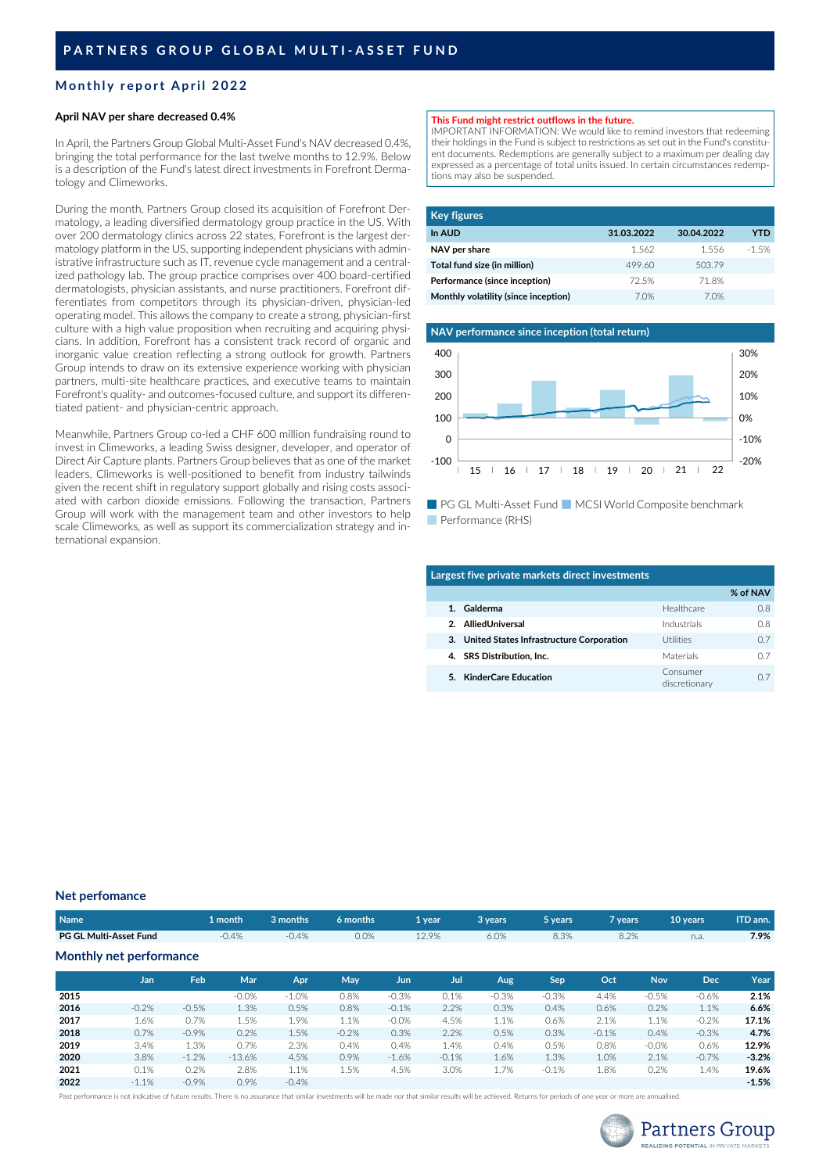# **Monthly report April 2022**

### **April NAV per share decreased 0.4%**

In April, the Partners Group Global Multi-Asset Fund's NAV decreased 0.4%, bringing the total performance for the last twelve months to 12.9%. Below is a description of the Fund's latest direct investments in Forefront Dermatology and Climeworks.

During the month, Partners Group closed its acquisition of Forefront Dermatology, a leading diversified dermatology group practice in the US. With over 200 dermatology clinics across 22 states, Forefront is the largest dermatology platform in the US, supporting independent physicians with administrative infrastructure such as IT, revenue cycle management and a centralized pathology lab. The group practice comprises over 400 board-certified dermatologists, physician assistants, and nurse practitioners. Forefront differentiates from competitors through its physician-driven, physician-led operating model. This allows the company to create a strong, physician-first culture with a high value proposition when recruiting and acquiring physicians. In addition, Forefront has a consistent track record of organic and inorganic value creation reflecting a strong outlook for growth. Partners Group intends to draw on its extensive experience working with physician partners, multi-site healthcare practices, and executive teams to maintain Forefront's quality- and outcomes-focused culture, and support its differentiated patient- and physician-centric approach.

Meanwhile, Partners Group co-led a CHF 600 million fundraising round to invest in Climeworks, a leading Swiss designer, developer, and operator of Direct Air Capture plants. Partners Group believes that as one of the market leaders, Climeworks is well-positioned to benefit from industry tailwinds given the recent shift in regulatory support globally and rising costs associated with carbon dioxide emissions. Following the transaction, Partners Group will work with the management team and other investors to help scale Climeworks, as well as support its commercialization strategy and international expansion.

# **This Fund might restrict outflows in the future.**

IMPORTANT INFORMATION: We would like to remind investors that redeeming their holdings in the Fund is subject to restrictions as set out in the Fund's constituent documents. Redemptions are generally subject to a maximum per dealing day expressed as a percentage of total units issued. In certain circumstances redemptions may also be suspended.

| <b>Key figures</b>                   |            |            |         |
|--------------------------------------|------------|------------|---------|
| In AUD                               | 31.03.2022 | 30.04.2022 | YTD     |
| NAV per share                        | 1.562      | 1556       | $-1.5%$ |
| Total fund size (in million)         | 499.60     | 503.79     |         |
| Performance (since inception)        | 72.5%      | 718%       |         |
| Monthly volatility (since inception) | 70%        | 7.0%       |         |



■ PG GL Multi-Asset Fund ■ MCSI World Composite benchmark ■ Performance (RHS)

| Largest five private markets direct investments |                           |                |  |  |  |  |
|-------------------------------------------------|---------------------------|----------------|--|--|--|--|
|                                                 |                           | % of NAV       |  |  |  |  |
| Galderma                                        | Healthcare                | 0.8            |  |  |  |  |
| 2. AlliedUniversal                              | Industrials               | O <sub>8</sub> |  |  |  |  |
| 3. United States Infrastructure Corporation     | Utilities                 | 07             |  |  |  |  |
| 4. SRS Distribution, Inc.                       | Materials                 | 0.7            |  |  |  |  |
| 5. KinderCare Education                         | Consumer<br>discretionary | 07             |  |  |  |  |

#### **Net perfomance**

| Name <sup>1</sup>             | 1 month | 3 months                                                                                                        | 6 months  | 1 year                                                                                                          | 3 years | 5 years | 7 vears | 10 years | ITD ann. |
|-------------------------------|---------|-----------------------------------------------------------------------------------------------------------------|-----------|-----------------------------------------------------------------------------------------------------------------|---------|---------|---------|----------|----------|
| <b>PG GL Multi-Asset Fund</b> | $-0.4%$ | $-0.4%$                                                                                                         | $0.0\%$   | 12.9%                                                                                                           | 6.0%    | 8.3%    | 8.2%    | n.a.     | 7.9%     |
| Monthly net performance       |         |                                                                                                                 |           |                                                                                                                 |         |         |         |          |          |
|                               |         | the contract of the contract of the contract of the contract of the contract of the contract of the contract of | _________ | the contract of the contract of the contract of the contract of the contract of the contract of the contract of |         |         |         | __       |          |

|      | Jan     | Feb     | Mar      | Apr     | May     | Jun     | Jul     | Aug     | Sep     | Oct     | <b>Nov</b> | Dec.    | Year    |
|------|---------|---------|----------|---------|---------|---------|---------|---------|---------|---------|------------|---------|---------|
| 2015 |         |         | $-0.0%$  | $-1.0%$ | 0.8%    | $-0.3%$ | 0.1%    | $-0.3%$ | $-0.3%$ | 4.4%    | $-0.5%$    | $-0.6%$ | 2.1%    |
| 2016 | $-0.2%$ | $-0.5%$ | 1.3%     | 0.5%    | 0.8%    | $-0.1%$ | 2.2%    | 0.3%    | 0.4%    | 0.6%    | 0.2%       | 1.1%    | 6.6%    |
| 2017 | 1.6%    | 0.7%    | 1.5%     | 1.9%    | 1.1%    | $-0.0%$ | 4.5%    | 1.1%    | 0.6%    | 2.1%    | 1.1%       | $-0.2%$ | 17.1%   |
| 2018 | 0.7%    | $-0.9%$ | 0.2%     | 1.5%    | $-0.2%$ | 0.3%    | 2.2%    | 0.5%    | 0.3%    | $-0.1%$ | 0.4%       | $-0.3%$ | 4.7%    |
| 2019 | 3.4%    | 1.3%    | 0.7%     | 2.3%    | 0.4%    | 0.4%    | 1.4%    | 0.4%    | 0.5%    | 0.8%    | $-0.0%$    | 0.6%    | 12.9%   |
| 2020 | 3.8%    | $-1.2%$ | $-13.6%$ | 4.5%    | 0.9%    | $-1.6%$ | $-0.1%$ | 1.6%    | 1.3%    | 1.0%    | 2.1%       | $-0.7%$ | $-3.2%$ |
| 2021 | 0.1%    | 0.2%    | 2.8%     | 1.1%    | 1.5%    | 4.5%    | 3.0%    | 1.7%    | $-0.1%$ | 1.8%    | 0.2%       | 1.4%    | 19.6%   |
| 2022 | $-1.1%$ | $-0.9%$ | 0.9%     | $-0.4%$ |         |         |         |         |         |         |            |         | $-1.5%$ |

Past performance is not indicative of future results. There is no assurance that similar investments will be made nor that similar results will be achieved. Returns for periods of one year or more are annualised.